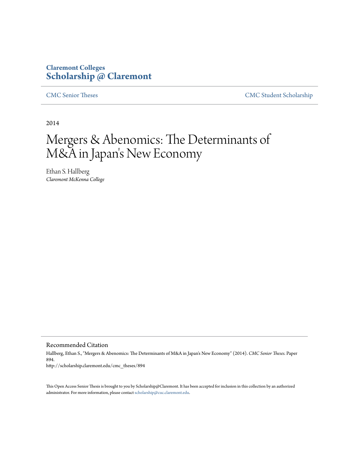# **Claremont Colleges [Scholarship @ Claremont](http://scholarship.claremont.edu)**

[CMC Senior Theses](http://scholarship.claremont.edu/cmc_theses) [CMC Student Scholarship](http://scholarship.claremont.edu/cmc_student)

2014

# Mergers & Abenomics: The Determinants of M&A in Japan 's New Economy

Ethan S. Hallberg *Claremont McKenna College*

Recommended Citation

Hallberg, Ethan S., "Mergers & Abenomics: The Determinants of M&A in Japan's New Economy" (2014). *CMC Senior Theses.* Paper 894. http://scholarship.claremont.edu/cmc\_theses/894

This Open Access Senior Thesis is brought to you by Scholarship@Claremont. It has been accepted for inclusion in this collection by an authorized administrator. For more information, please contact [scholarship@cuc.claremont.edu.](mailto:scholarship@cuc.claremont.edu)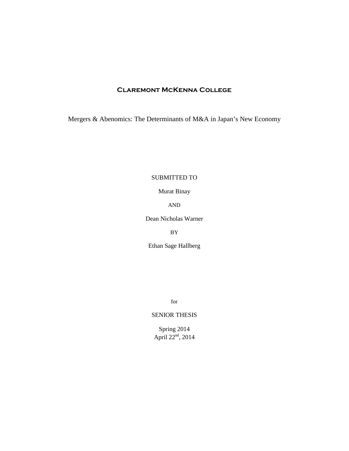# **Claremont McKenna College**

Mergers & Abenomics: The Determinants of M&A in Japan's New Economy

## SUBMITTED TO

Murat Binay

AND

Dean Nicholas Warner

BY

Ethan Sage Hallberg

for

## SENIOR THESIS

Spring 2014 April  $22<sup>nd</sup>$ , 2014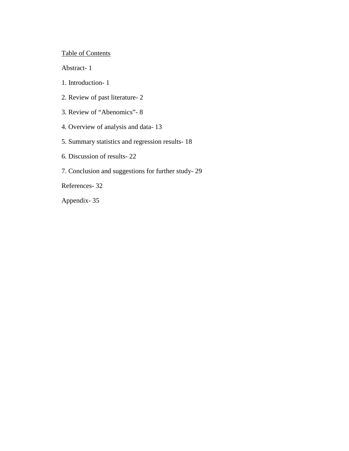# Table of Contents

Abstract- 1

1. Introduction- 1

2. Review of past literature- 2

3. Review of "Abenomics"- 8

4. Overview of analysis and data- 13

5. Summary statistics and regression results- 18

6. Discussion of results- 22

7. Conclusion and suggestions for further study- 29

References- 32

Appendix- 35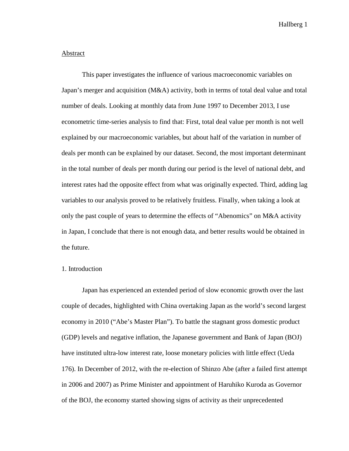#### **Abstract**

This paper investigates the influence of various macroeconomic variables on Japan's merger and acquisition (M&A) activity, both in terms of total deal value and total number of deals. Looking at monthly data from June 1997 to December 2013, I use econometric time-series analysis to find that: First, total deal value per month is not well explained by our macroeconomic variables, but about half of the variation in number of deals per month can be explained by our dataset. Second, the most important determinant in the total number of deals per month during our period is the level of national debt, and interest rates had the opposite effect from what was originally expected. Third, adding lag variables to our analysis proved to be relatively fruitless. Finally, when taking a look at only the past couple of years to determine the effects of "Abenomics" on M&A activity in Japan, I conclude that there is not enough data, and better results would be obtained in the future.

#### 1. Introduction

Japan has experienced an extended period of slow economic growth over the last couple of decades, highlighted with China overtaking Japan as the world's second largest economy in 2010 ("Abe's Master Plan"). To battle the stagnant gross domestic product (GDP) levels and negative inflation, the Japanese government and Bank of Japan (BOJ) have instituted ultra-low interest rate, loose monetary policies with little effect (Ueda 176). In December of 2012, with the re-election of Shinzo Abe (after a failed first attempt in 2006 and 2007) as Prime Minister and appointment of Haruhiko Kuroda as Governor of the BOJ, the economy started showing signs of activity as their unprecedented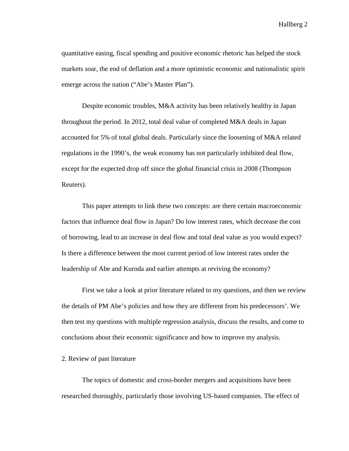quantitative easing, fiscal spending and positive economic rhetoric has helped the stock markets soar, the end of deflation and a more optimistic economic and nationalistic spirit emerge across the nation ("Abe's Master Plan").

Despite economic troubles, M&A activity has been relatively healthy in Japan throughout the period. In 2012, total deal value of completed M&A deals in Japan accounted for 5% of total global deals. Particularly since the loosening of M&A related regulations in the 1990's, the weak economy has not particularly inhibited deal flow, except for the expected drop off since the global financial crisis in 2008 (Thompson Reuters).

This paper attempts to link these two concepts: are there certain macroeconomic factors that influence deal flow in Japan? Do low interest rates, which decrease the cost of borrowing, lead to an increase in deal flow and total deal value as you would expect? Is there a difference between the most current period of low interest rates under the leadership of Abe and Kuroda and earlier attempts at reviving the economy?

First we take a look at prior literature related to my questions, and then we review the details of PM Abe's policies and how they are different from his predecessors'. We then test my questions with multiple regression analysis, discuss the results, and come to conclusions about their economic significance and how to improve my analysis.

#### 2. Review of past literature

The topics of domestic and cross-border mergers and acquisitions have been researched thoroughly, particularly those involving US-based companies. The effect of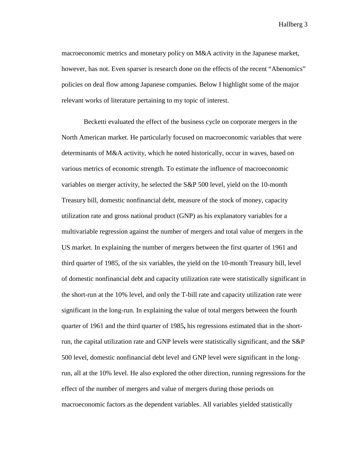macroeconomic metrics and monetary policy on M&A activity in the Japanese market, however, has not. Even sparser is research done on the effects of the recent "Abenomics" policies on deal flow among Japanese companies. Below I highlight some of the major relevant works of literature pertaining to my topic of interest.

Becketti evaluated the effect of the business cycle on corporate mergers in the North American market. He particularly focused on macroeconomic variables that were determinants of M&A activity, which he noted historically, occur in waves, based on various metrics of economic strength. To estimate the influence of macroeconomic variables on merger activity, he selected the S&P 500 level, yield on the 10-month Treasury bill, domestic nonfinancial debt, measure of the stock of money, capacity utilization rate and gross national product (GNP) as his explanatory variables for a multivariable regression against the number of mergers and total value of mergers in the US market. In explaining the number of mergers between the first quarter of 1961 and third quarter of 1985, of the six variables, the yield on the 10-month Treasury bill, level of domestic nonfinancial debt and capacity utilization rate were statistically significant in the short-run at the 10% level, and only the T-bill rate and capacity utilization rate were significant in the long-run. In explaining the value of total mergers between the fourth quarter of 1961 and the third quarter of 1985**,** his regressions estimated that in the shortrun, the capital utilization rate and GNP levels were statistically significant, and the S&P 500 level, domestic nonfinancial debt level and GNP level were significant in the longrun, all at the 10% level. He also explored the other direction, running regressions for the effect of the number of mergers and value of mergers during those periods on macroeconomic factors as the dependent variables. All variables yielded statistically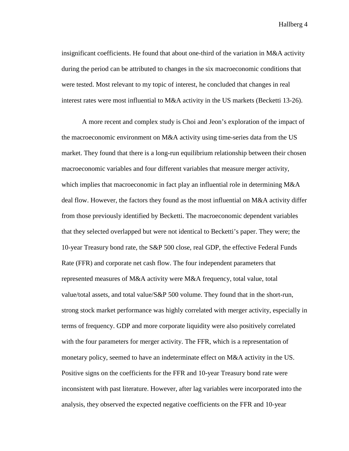insignificant coefficients. He found that about one-third of the variation in M&A activity during the period can be attributed to changes in the six macroeconomic conditions that were tested. Most relevant to my topic of interest, he concluded that changes in real interest rates were most influential to M&A activity in the US markets (Becketti 13-26).

A more recent and complex study is Choi and Jeon's exploration of the impact of the macroeconomic environment on M&A activity using time-series data from the US market. They found that there is a long-run equilibrium relationship between their chosen macroeconomic variables and four different variables that measure merger activity, which implies that macroeconomic in fact play an influential role in determining M&A deal flow. However, the factors they found as the most influential on M&A activity differ from those previously identified by Becketti. The macroeconomic dependent variables that they selected overlapped but were not identical to Becketti's paper. They were; the 10-year Treasury bond rate, the S&P 500 close, real GDP, the effective Federal Funds Rate (FFR) and corporate net cash flow. The four independent parameters that represented measures of M&A activity were M&A frequency, total value, total value/total assets, and total value/S&P 500 volume. They found that in the short-run, strong stock market performance was highly correlated with merger activity, especially in terms of frequency. GDP and more corporate liquidity were also positively correlated with the four parameters for merger activity. The FFR, which is a representation of monetary policy, seemed to have an indeterminate effect on M&A activity in the US. Positive signs on the coefficients for the FFR and 10-year Treasury bond rate were inconsistent with past literature. However, after lag variables were incorporated into the analysis, they observed the expected negative coefficients on the FFR and 10-year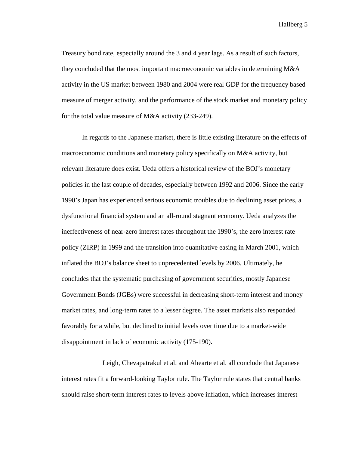Treasury bond rate, especially around the 3 and 4 year lags. As a result of such factors, they concluded that the most important macroeconomic variables in determining M&A activity in the US market between 1980 and 2004 were real GDP for the frequency based measure of merger activity, and the performance of the stock market and monetary policy for the total value measure of M&A activity (233-249).

In regards to the Japanese market, there is little existing literature on the effects of macroeconomic conditions and monetary policy specifically on M&A activity, but relevant literature does exist. Ueda offers a historical review of the BOJ's monetary policies in the last couple of decades, especially between 1992 and 2006. Since the early 1990's Japan has experienced serious economic troubles due to declining asset prices, a dysfunctional financial system and an all-round stagnant economy. Ueda analyzes the ineffectiveness of near-zero interest rates throughout the 1990's, the zero interest rate policy (ZIRP) in 1999 and the transition into quantitative easing in March 2001, which inflated the BOJ's balance sheet to unprecedented levels by 2006. Ultimately, he concludes that the systematic purchasing of government securities, mostly Japanese Government Bonds (JGBs) were successful in decreasing short-term interest and money market rates, and long-term rates to a lesser degree. The asset markets also responded favorably for a while, but declined to initial levels over time due to a market-wide disappointment in lack of economic activity (175-190).

Leigh, Chevapatrakul et al. and Ahearte et al. all conclude that Japanese interest rates fit a forward-looking Taylor rule. The Taylor rule states that central banks should raise short-term interest rates to levels above inflation, which increases interest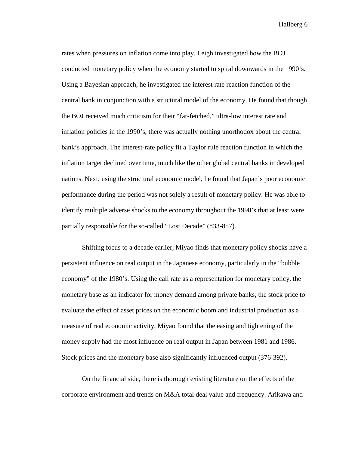rates when pressures on inflation come into play. Leigh investigated how the BOJ conducted monetary policy when the economy started to spiral downwards in the 1990's. Using a Bayesian approach, he investigated the interest rate reaction function of the central bank in conjunction with a structural model of the economy. He found that though the BOJ received much criticism for their "far-fetched," ultra-low interest rate and inflation policies in the 1990's, there was actually nothing unorthodox about the central bank's approach. The interest-rate policy fit a Taylor rule reaction function in which the inflation target declined over time, much like the other global central banks in developed nations. Next, using the structural economic model, he found that Japan's poor economic performance during the period was not solely a result of monetary policy. He was able to identify multiple adverse shocks to the economy throughout the 1990's that at least were partially responsible for the so-called "Lost Decade" (833-857).

Shifting focus to a decade earlier, Miyao finds that monetary policy shocks have a persistent influence on real output in the Japanese economy, particularly in the "bubble economy" of the 1980's. Using the call rate as a representation for monetary policy, the monetary base as an indicator for money demand among private banks, the stock price to evaluate the effect of asset prices on the economic boom and industrial production as a measure of real economic activity, Miyao found that the easing and tightening of the money supply had the most influence on real output in Japan between 1981 and 1986. Stock prices and the monetary base also significantly influenced output (376-392).

On the financial side, there is thorough existing literature on the effects of the corporate environment and trends on M&A total deal value and frequency. Arikawa and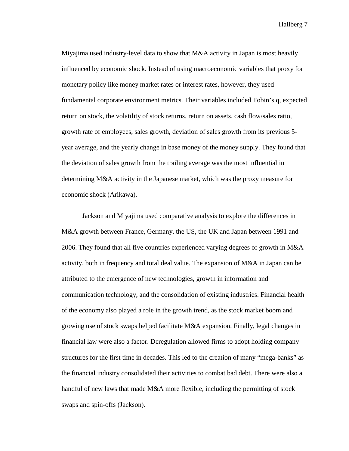Miyajima used industry-level data to show that M&A activity in Japan is most heavily influenced by economic shock. Instead of using macroeconomic variables that proxy for monetary policy like money market rates or interest rates, however, they used fundamental corporate environment metrics. Their variables included Tobin's q, expected return on stock, the volatility of stock returns, return on assets, cash flow/sales ratio, growth rate of employees, sales growth, deviation of sales growth from its previous 5 year average, and the yearly change in base money of the money supply. They found that the deviation of sales growth from the trailing average was the most influential in determining M&A activity in the Japanese market, which was the proxy measure for economic shock (Arikawa).

Jackson and Miyajima used comparative analysis to explore the differences in M&A growth between France, Germany, the US, the UK and Japan between 1991 and 2006. They found that all five countries experienced varying degrees of growth in M&A activity, both in frequency and total deal value. The expansion of M&A in Japan can be attributed to the emergence of new technologies, growth in information and communication technology, and the consolidation of existing industries. Financial health of the economy also played a role in the growth trend, as the stock market boom and growing use of stock swaps helped facilitate M&A expansion. Finally, legal changes in financial law were also a factor. Deregulation allowed firms to adopt holding company structures for the first time in decades. This led to the creation of many "mega-banks" as the financial industry consolidated their activities to combat bad debt. There were also a handful of new laws that made M&A more flexible, including the permitting of stock swaps and spin-offs (Jackson).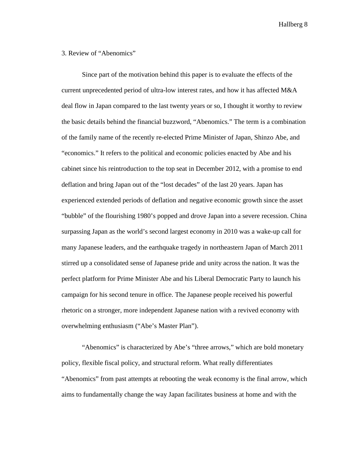#### 3. Review of "Abenomics"

Since part of the motivation behind this paper is to evaluate the effects of the current unprecedented period of ultra-low interest rates, and how it has affected M&A deal flow in Japan compared to the last twenty years or so, I thought it worthy to review the basic details behind the financial buzzword, "Abenomics." The term is a combination of the family name of the recently re-elected Prime Minister of Japan, Shinzo Abe, and "economics." It refers to the political and economic policies enacted by Abe and his cabinet since his reintroduction to the top seat in December 2012, with a promise to end deflation and bring Japan out of the "lost decades" of the last 20 years. Japan has experienced extended periods of deflation and negative economic growth since the asset "bubble" of the flourishing 1980's popped and drove Japan into a severe recession. China surpassing Japan as the world's second largest economy in 2010 was a wake-up call for many Japanese leaders, and the earthquake tragedy in northeastern Japan of March 2011 stirred up a consolidated sense of Japanese pride and unity across the nation. It was the perfect platform for Prime Minister Abe and his Liberal Democratic Party to launch his campaign for his second tenure in office. The Japanese people received his powerful rhetoric on a stronger, more independent Japanese nation with a revived economy with overwhelming enthusiasm ("Abe's Master Plan").

"Abenomics" is characterized by Abe's "three arrows," which are bold monetary policy, flexible fiscal policy, and structural reform. What really differentiates "Abenomics" from past attempts at rebooting the weak economy is the final arrow, which aims to fundamentally change the way Japan facilitates business at home and with the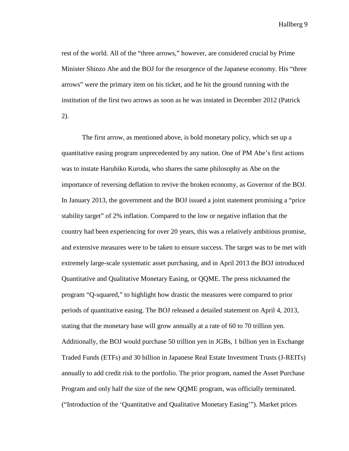rest of the world. All of the "three arrows," however, are considered crucial by Prime Minister Shinzo Abe and the BOJ for the resurgence of the Japanese economy. His "three arrows" were the primary item on his ticket, and he hit the ground running with the institution of the first two arrows as soon as he was instated in December 2012 (Patrick 2).

The first arrow, as mentioned above, is bold monetary policy, which set up a quantitative easing program unprecedented by any nation. One of PM Abe's first actions was to instate Haruhiko Kuroda, who shares the same philosophy as Abe on the importance of reversing deflation to revive the broken economy, as Governor of the BOJ. In January 2013, the government and the BOJ issued a joint statement promising a "price stability target" of 2% inflation. Compared to the low or negative inflation that the country had been experiencing for over 20 years, this was a relatively ambitious promise, and extensive measures were to be taken to ensure success. The target was to be met with extremely large-scale systematic asset purchasing, and in April 2013 the BOJ introduced Quantitative and Qualitative Monetary Easing, or QQME. The press nicknamed the program "Q-squared," to highlight how drastic the measures were compared to prior periods of quantitative easing. The BOJ released a detailed statement on April 4, 2013, stating that the monetary base will grow annually at a rate of 60 to 70 trillion yen. Additionally, the BOJ would purchase 50 trillion yen in JGBs, 1 billion yen in Exchange Traded Funds (ETFs) and 30 billion in Japanese Real Estate Investment Trusts (J-REITs) annually to add credit risk to the portfolio. The prior program, named the Asset Purchase Program and only half the size of the new QQME program, was officially terminated. ("Introduction of the 'Quantitative and Qualitative Monetary Easing'"). Market prices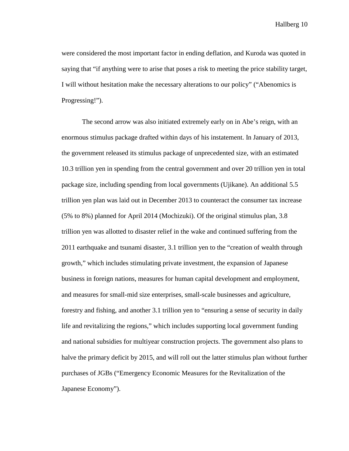were considered the most important factor in ending deflation, and Kuroda was quoted in saying that "if anything were to arise that poses a risk to meeting the price stability target, I will without hesitation make the necessary alterations to our policy" ("Abenomics is Progressing!").

The second arrow was also initiated extremely early on in Abe's reign, with an enormous stimulus package drafted within days of his instatement. In January of 2013, the government released its stimulus package of unprecedented size, with an estimated 10.3 trillion yen in spending from the central government and over 20 trillion yen in total package size, including spending from local governments (Ujikane). An additional 5.5 trillion yen plan was laid out in December 2013 to counteract the consumer tax increase (5% to 8%) planned for April 2014 (Mochizuki). Of the original stimulus plan, 3.8 trillion yen was allotted to disaster relief in the wake and continued suffering from the 2011 earthquake and tsunami disaster, 3.1 trillion yen to the "creation of wealth through growth," which includes stimulating private investment, the expansion of Japanese business in foreign nations, measures for human capital development and employment, and measures for small-mid size enterprises, small-scale businesses and agriculture, forestry and fishing, and another 3.1 trillion yen to "ensuring a sense of security in daily life and revitalizing the regions," which includes supporting local government funding and national subsidies for multiyear construction projects. The government also plans to halve the primary deficit by 2015, and will roll out the latter stimulus plan without further purchases of JGBs ("Emergency Economic Measures for the Revitalization of the Japanese Economy").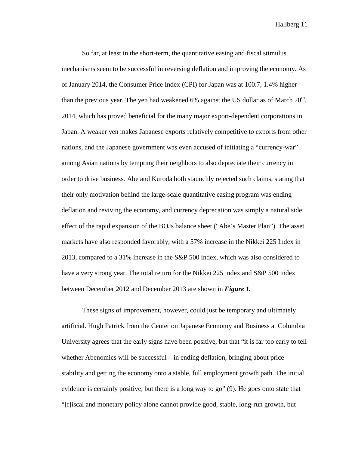So far, at least in the short-term, the quantitative easing and fiscal stimulus mechanisms seem to be successful in reversing deflation and improving the economy. As of January 2014, the Consumer Price Index (CPI) for Japan was at 100.7, 1.4% higher than the previous year. The yen had weakened 6% against the US dollar as of March  $20<sup>th</sup>$ , 2014, which has proved beneficial for the many major export-dependent corporations in Japan. A weaker yen makes Japanese exports relatively competitive to exports from other nations, and the Japanese government was even accused of initiating a "currency-war" among Asian nations by tempting their neighbors to also depreciate their currency in order to drive business. Abe and Kuroda both staunchly rejected such claims, stating that their only motivation behind the large-scale quantitative easing program was ending deflation and reviving the economy, and currency deprecation was simply a natural side effect of the rapid expansion of the BOJs balance sheet ("Abe's Master Plan"). The asset markets have also responded favorably, with a 57% increase in the Nikkei 225 Index in 2013, compared to a 31% increase in the S&P 500 index, which was also considered to have a very strong year. The total return for the Nikkei 225 index and S&P 500 index between December 2012 and December 2013 are shown in *Figure 1.* 

These signs of improvement, however, could just be temporary and ultimately artificial. Hugh Patrick from the Center on Japanese Economy and Business at Columbia University agrees that the early signs have been positive, but that "it is far too early to tell whether Abenomics will be successful—in ending deflation, bringing about price stability and getting the economy onto a stable, full employment growth path. The initial evidence is certainly positive, but there is a long way to go" (9). He goes onto state that "[f]iscal and monetary policy alone cannot provide good, stable, long-run growth, but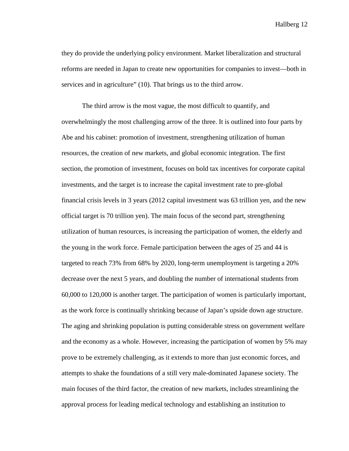they do provide the underlying policy environment. Market liberalization and structural reforms are needed in Japan to create new opportunities for companies to invest—both in services and in agriculture" (10). That brings us to the third arrow.

The third arrow is the most vague, the most difficult to quantify, and overwhelmingly the most challenging arrow of the three. It is outlined into four parts by Abe and his cabinet: promotion of investment, strengthening utilization of human resources, the creation of new markets, and global economic integration. The first section, the promotion of investment, focuses on bold tax incentives for corporate capital investments, and the target is to increase the capital investment rate to pre-global financial crisis levels in 3 years (2012 capital investment was 63 trillion yen, and the new official target is 70 trillion yen). The main focus of the second part, strengthening utilization of human resources, is increasing the participation of women, the elderly and the young in the work force. Female participation between the ages of 25 and 44 is targeted to reach 73% from 68% by 2020, long-term unemployment is targeting a 20% decrease over the next 5 years, and doubling the number of international students from 60,000 to 120,000 is another target. The participation of women is particularly important, as the work force is continually shrinking because of Japan's upside down age structure. The aging and shrinking population is putting considerable stress on government welfare and the economy as a whole. However, increasing the participation of women by 5% may prove to be extremely challenging, as it extends to more than just economic forces, and attempts to shake the foundations of a still very male-dominated Japanese society. The main focuses of the third factor, the creation of new markets, includes streamlining the approval process for leading medical technology and establishing an institution to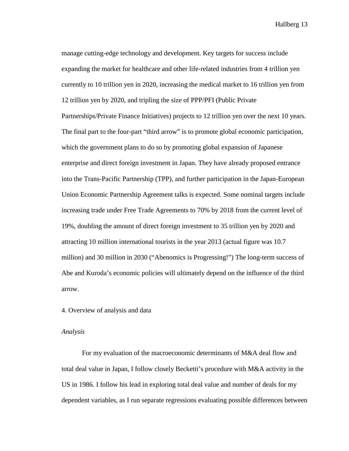manage cutting-edge technology and development. Key targets for success include expanding the market for healthcare and other life-related industries from 4 trillion yen currently to 10 trillion yen in 2020, increasing the medical market to 16 trillion yen from 12 trillion yen by 2020, and tripling the size of PPP/PFI (Public Private Partnerships/Private Finance Initiatives) projects to 12 trillion yen over the next 10 years. The final part to the four-part "third arrow" is to promote global economic participation, which the government plans to do so by promoting global expansion of Japanese enterprise and direct foreign investment in Japan. They have already proposed entrance into the Trans-Pacific Partnership (TPP), and further participation in the Japan-European Union Economic Partnership Agreement talks is expected. Some nominal targets include increasing trade under Free Trade Agreements to 70% by 2018 from the current level of 19%, doubling the amount of direct foreign investment to 35 trillion yen by 2020 and attracting 10 million international tourists in the year 2013 (actual figure was 10.7 million) and 30 million in 2030 ("Abenomics is Progressing!") The long-term success of Abe and Kuroda's economic policies will ultimately depend on the influence of the third arrow.

#### 4. Overview of analysis and data

#### *Analysis*

For my evaluation of the macroeconomic determinants of M&A deal flow and total deal value in Japan, I follow closely Becketti's procedure with M&A activity in the US in 1986. I follow his lead in exploring total deal value and number of deals for my dependent variables, as I run separate regressions evaluating possible differences between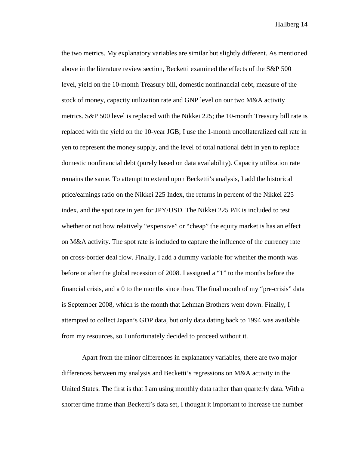the two metrics. My explanatory variables are similar but slightly different. As mentioned above in the literature review section, Becketti examined the effects of the S&P 500 level, yield on the 10-month Treasury bill, domestic nonfinancial debt, measure of the stock of money, capacity utilization rate and GNP level on our two M&A activity metrics. S&P 500 level is replaced with the Nikkei 225; the 10-month Treasury bill rate is replaced with the yield on the 10-year JGB; I use the 1-month uncollateralized call rate in yen to represent the money supply, and the level of total national debt in yen to replace domestic nonfinancial debt (purely based on data availability). Capacity utilization rate remains the same. To attempt to extend upon Becketti's analysis, I add the historical price/earnings ratio on the Nikkei 225 Index, the returns in percent of the Nikkei 225 index, and the spot rate in yen for JPY/USD. The Nikkei 225 P/E is included to test whether or not how relatively "expensive" or "cheap" the equity market is has an effect on M&A activity. The spot rate is included to capture the influence of the currency rate on cross-border deal flow. Finally, I add a dummy variable for whether the month was before or after the global recession of 2008. I assigned a "1" to the months before the financial crisis, and a 0 to the months since then. The final month of my "pre-crisis" data is September 2008, which is the month that Lehman Brothers went down. Finally, I attempted to collect Japan's GDP data, but only data dating back to 1994 was available from my resources, so I unfortunately decided to proceed without it.

Apart from the minor differences in explanatory variables, there are two major differences between my analysis and Becketti's regressions on M&A activity in the United States. The first is that I am using monthly data rather than quarterly data. With a shorter time frame than Becketti's data set, I thought it important to increase the number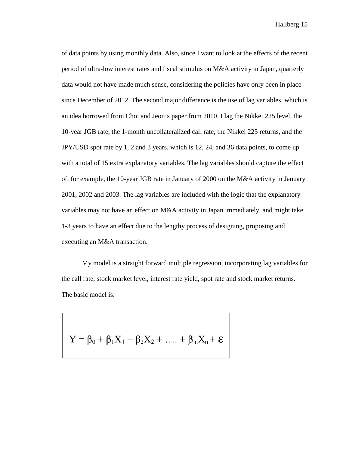of data points by using monthly data. Also, since I want to look at the effects of the recent period of ultra-low interest rates and fiscal stimulus on M&A activity in Japan, quarterly data would not have made much sense, considering the policies have only been in place since December of 2012. The second major difference is the use of lag variables, which is an idea borrowed from Choi and Jeon's paper from 2010. I lag the Nikkei 225 level, the 10-year JGB rate, the 1-month uncollateralized call rate, the Nikkei 225 returns, and the JPY/USD spot rate by 1, 2 and 3 years, which is 12, 24, and 36 data points, to come up with a total of 15 extra explanatory variables. The lag variables should capture the effect of, for example, the 10-year JGB rate in January of 2000 on the M&A activity in January 2001, 2002 and 2003. The lag variables are included with the logic that the explanatory variables may not have an effect on M&A activity in Japan immediately, and might take 1-3 years to have an effect due to the lengthy process of designing, proposing and executing an M&A transaction.

My model is a straight forward multiple regression, incorporating lag variables for the call rate, stock market level, interest rate yield, spot rate and stock market returns. The basic model is:

$$
Y = \beta_0 + \beta_1 X_1 + \beta_2 X_2 + \ldots + \beta_n X_n + \epsilon
$$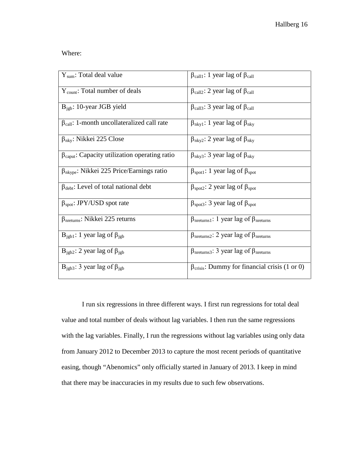Where:

| $Y_{sum}$ : Total deal value                                  | $\beta_{\text{call1}}$ : 1 year lag of $\beta_{\text{call}}$         |
|---------------------------------------------------------------|----------------------------------------------------------------------|
| $Y_{\text{count}}$ : Total number of deals                    | $\beta_{\text{call2}}$ : 2 year lag of $\beta_{\text{call}}$         |
| $B_{\text{igb}}$ : 10-year JGB yield                          | $\beta_{\text{call3}}$ : 3 year lag of $\beta_{\text{call}}$         |
| $\beta_{\text{call}}$ : 1-month uncollateralized call rate    | $\beta_{nky1}$ : 1 year lag of $\beta_{nky}$                         |
| $\beta_{\rm nky}$ : Nikkei 225 Close                          | $\beta_{\rm nky2}$ : 2 year lag of $\beta_{\rm nky}$                 |
| $\beta_{\text{caput}}$ : Capacity utilization operating ratio | $\beta_{\rm nky3}$ : 3 year lag of $\beta_{\rm nky}$                 |
| $\beta_{\rm nkype}$ : Nikkei 225 Price/Earnings ratio         | $\beta_{\text{spot1}}$ : 1 year lag of $\beta_{\text{spot}}$         |
| $\beta_{\text{debt}}$ : Level of total national debt          | $\beta_{\text{spot2}}$ : 2 year lag of $\beta_{\text{spot}}$         |
| $\beta_{spot}$ : JPY/USD spot rate                            | $\beta_{\text{spot3}}$ : 3 year lag of $\beta_{\text{spot}}$         |
| $\beta_{\text{nreturns}}$ : Nikkei 225 returns                | $\beta_{\text{intturns1}}$ : 1 year lag of $\beta_{\text{intturns}}$ |
| $B_{\text{igbl}}$ : 1 year lag of $\beta_{\text{igbl}}$       | $\beta_{\text{meturns2}}$ : 2 year lag of $\beta_{\text{meturns}}$   |
| $B_{\text{igb2}}$ : 2 year lag of $\beta_{\text{igb}}$        | $\beta_{\text{meturns3}}$ : 3 year lag of $\beta_{\text{meturns}}$   |
| $B_{\text{igb3}}$ : 3 year lag of $\beta_{\text{igb}}$        | $\beta_{\text{crisis}}$ : Dummy for financial crisis (1 or 0)        |

I run six regressions in three different ways. I first run regressions for total deal value and total number of deals without lag variables. I then run the same regressions with the lag variables. Finally, I run the regressions without lag variables using only data from January 2012 to December 2013 to capture the most recent periods of quantitative easing, though "Abenomics" only officially started in January of 2013. I keep in mind that there may be inaccuracies in my results due to such few observations.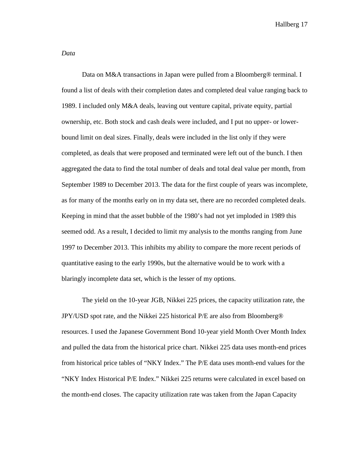*Data*

Data on M&A transactions in Japan were pulled from a Bloomberg<sup>®</sup> terminal. I found a list of deals with their completion dates and completed deal value ranging back to 1989. I included only M&A deals, leaving out venture capital, private equity, partial ownership, etc. Both stock and cash deals were included, and I put no upper- or lowerbound limit on deal sizes. Finally, deals were included in the list only if they were completed, as deals that were proposed and terminated were left out of the bunch. I then aggregated the data to find the total number of deals and total deal value per month, from September 1989 to December 2013. The data for the first couple of years was incomplete, as for many of the months early on in my data set, there are no recorded completed deals. Keeping in mind that the asset bubble of the 1980's had not yet imploded in 1989 this seemed odd. As a result, I decided to limit my analysis to the months ranging from June 1997 to December 2013. This inhibits my ability to compare the more recent periods of quantitative easing to the early 1990s, but the alternative would be to work with a blaringly incomplete data set, which is the lesser of my options.

The yield on the 10-year JGB, Nikkei 225 prices, the capacity utilization rate, the JPY/USD spot rate, and the Nikkei 225 historical P/E are also from Bloomberg® resources. I used the Japanese Government Bond 10-year yield Month Over Month Index and pulled the data from the historical price chart. Nikkei 225 data uses month-end prices from historical price tables of "NKY Index." The P/E data uses month-end values for the "NKY Index Historical P/E Index." Nikkei 225 returns were calculated in excel based on the month-end closes. The capacity utilization rate was taken from the Japan Capacity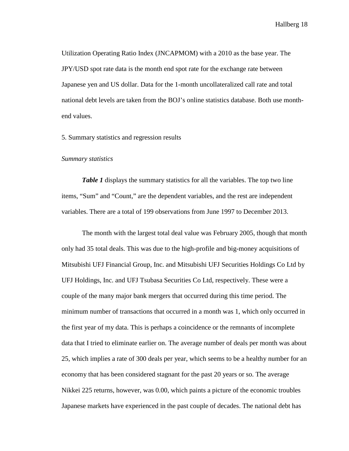Utilization Operating Ratio Index (JNCAPMOM) with a 2010 as the base year. The JPY/USD spot rate data is the month end spot rate for the exchange rate between Japanese yen and US dollar. Data for the 1-month uncollateralized call rate and total national debt levels are taken from the BOJ's online statistics database. Both use monthend values.

5. Summary statistics and regression results

#### *Summary statistics*

*Table 1* displays the summary statistics for all the variables. The top two line items, "Sum" and "Count," are the dependent variables, and the rest are independent variables. There are a total of 199 observations from June 1997 to December 2013.

The month with the largest total deal value was February 2005, though that month only had 35 total deals. This was due to the high-profile and big-money acquisitions of Mitsubishi UFJ Financial Group, Inc. and Mitsubishi UFJ Securities Holdings Co Ltd by UFJ Holdings, Inc. and UFJ Tsubasa Securities Co Ltd, respectively. These were a couple of the many major bank mergers that occurred during this time period. The minimum number of transactions that occurred in a month was 1, which only occurred in the first year of my data. This is perhaps a coincidence or the remnants of incomplete data that I tried to eliminate earlier on. The average number of deals per month was about 25, which implies a rate of 300 deals per year, which seems to be a healthy number for an economy that has been considered stagnant for the past 20 years or so. The average Nikkei 225 returns, however, was 0.00, which paints a picture of the economic troubles Japanese markets have experienced in the past couple of decades. The national debt has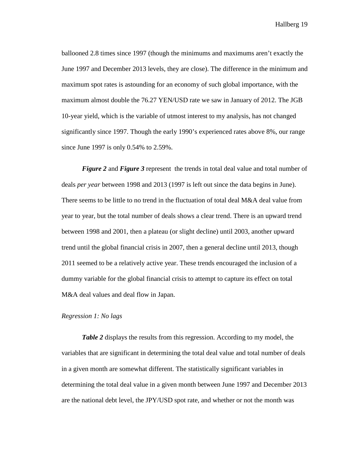ballooned 2.8 times since 1997 (though the minimums and maximums aren't exactly the June 1997 and December 2013 levels, they are close). The difference in the minimum and maximum spot rates is astounding for an economy of such global importance, with the maximum almost double the 76.27 YEN/USD rate we saw in January of 2012. The JGB 10-year yield, which is the variable of utmost interest to my analysis, has not changed significantly since 1997. Though the early 1990's experienced rates above 8%, our range since June 1997 is only 0.54% to 2.59%.

*Figure 2* and *Figure 3* represent the trends in total deal value and total number of deals *per year* between 1998 and 2013 (1997 is left out since the data begins in June). There seems to be little to no trend in the fluctuation of total deal M&A deal value from year to year, but the total number of deals shows a clear trend. There is an upward trend between 1998 and 2001, then a plateau (or slight decline) until 2003, another upward trend until the global financial crisis in 2007, then a general decline until 2013, though 2011 seemed to be a relatively active year. These trends encouraged the inclusion of a dummy variable for the global financial crisis to attempt to capture its effect on total M&A deal values and deal flow in Japan.

## *Regression 1: No lags*

*Table 2* displays the results from this regression. According to my model, the variables that are significant in determining the total deal value and total number of deals in a given month are somewhat different. The statistically significant variables in determining the total deal value in a given month between June 1997 and December 2013 are the national debt level, the JPY/USD spot rate, and whether or not the month was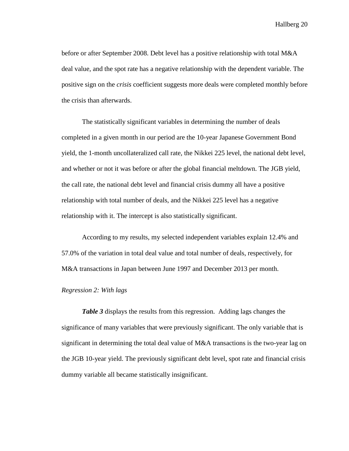before or after September 2008. Debt level has a positive relationship with total M&A deal value, and the spot rate has a negative relationship with the dependent variable. The positive sign on the *crisis* coefficient suggests more deals were completed monthly before the crisis than afterwards.

The statistically significant variables in determining the number of deals completed in a given month in our period are the 10-year Japanese Government Bond yield, the 1-month uncollateralized call rate, the Nikkei 225 level, the national debt level, and whether or not it was before or after the global financial meltdown. The JGB yield, the call rate, the national debt level and financial crisis dummy all have a positive relationship with total number of deals, and the Nikkei 225 level has a negative relationship with it. The intercept is also statistically significant.

According to my results, my selected independent variables explain 12.4% and 57.0% of the variation in total deal value and total number of deals, respectively, for M&A transactions in Japan between June 1997 and December 2013 per month.

#### *Regression 2: With lags*

*Table 3* displays the results from this regression. Adding lags changes the significance of many variables that were previously significant. The only variable that is significant in determining the total deal value of M&A transactions is the two-year lag on the JGB 10-year yield. The previously significant debt level, spot rate and financial crisis dummy variable all became statistically insignificant.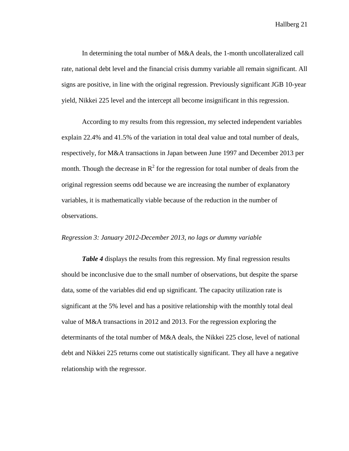In determining the total number of M&A deals, the 1-month uncollateralized call rate, national debt level and the financial crisis dummy variable all remain significant. All signs are positive, in line with the original regression. Previously significant JGB 10-year yield, Nikkei 225 level and the intercept all become insignificant in this regression.

According to my results from this regression, my selected independent variables explain 22.4% and 41.5% of the variation in total deal value and total number of deals, respectively, for M&A transactions in Japan between June 1997 and December 2013 per month. Though the decrease in  $R^2$  for the regression for total number of deals from the original regression seems odd because we are increasing the number of explanatory variables, it is mathematically viable because of the reduction in the number of observations.

#### *Regression 3: January 2012-December 2013, no lags or dummy variable*

*Table 4* displays the results from this regression. My final regression results should be inconclusive due to the small number of observations, but despite the sparse data, some of the variables did end up significant. The capacity utilization rate is significant at the 5% level and has a positive relationship with the monthly total deal value of M&A transactions in 2012 and 2013. For the regression exploring the determinants of the total number of M&A deals, the Nikkei 225 close, level of national debt and Nikkei 225 returns come out statistically significant. They all have a negative relationship with the regressor.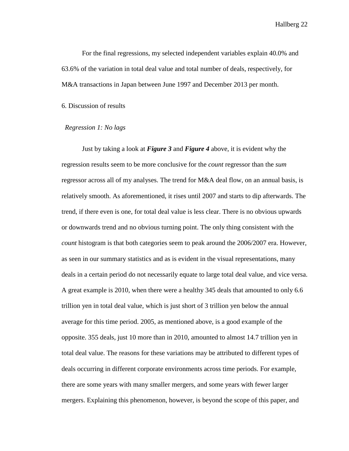For the final regressions, my selected independent variables explain 40.0% and 63.6% of the variation in total deal value and total number of deals, respectively, for M&A transactions in Japan between June 1997 and December 2013 per month.

6. Discussion of results

#### *Regression 1: No lags*

Just by taking a look at *Figure 3* and *Figure 4* above, it is evident why the regression results seem to be more conclusive for the *count* regressor than the *sum*  regressor across all of my analyses. The trend for M&A deal flow, on an annual basis, is relatively smooth. As aforementioned, it rises until 2007 and starts to dip afterwards. The trend, if there even is one, for total deal value is less clear. There is no obvious upwards or downwards trend and no obvious turning point. The only thing consistent with the *count* histogram is that both categories seem to peak around the 2006/2007 era. However, as seen in our summary statistics and as is evident in the visual representations, many deals in a certain period do not necessarily equate to large total deal value, and vice versa. A great example is 2010, when there were a healthy 345 deals that amounted to only 6.6 trillion yen in total deal value, which is just short of 3 trillion yen below the annual average for this time period. 2005, as mentioned above, is a good example of the opposite. 355 deals, just 10 more than in 2010, amounted to almost 14.7 trillion yen in total deal value. The reasons for these variations may be attributed to different types of deals occurring in different corporate environments across time periods. For example, there are some years with many smaller mergers, and some years with fewer larger mergers. Explaining this phenomenon, however, is beyond the scope of this paper, and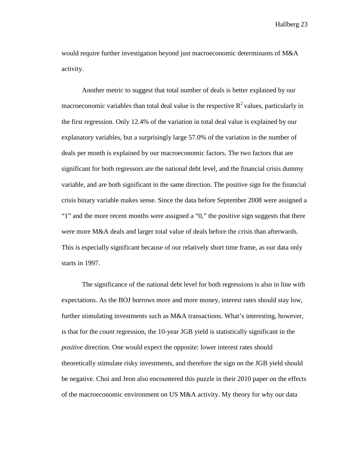would require further investigation beyond just macroeconomic determinants of M&A activity.

Another metric to suggest that total number of deals is better explained by our macroeconomic variables than total deal value is the respective  $R^2$  values, particularly in the first regression. Only 12.4% of the variation in total deal value is explained by our explanatory variables, but a surprisingly large 57.0% of the variation in the number of deals per month is explained by our macroeconomic factors. The two factors that are significant for both regressors are the national debt level, and the financial crisis dummy variable, and are both significant in the same direction. The positive sign for the financial crisis binary variable makes sense. Since the data before September 2008 were assigned a "1" and the more recent months were assigned a "0," the positive sign suggests that there were more M&A deals and larger total value of deals before the crisis than afterwards. This is especially significant because of our relatively short time frame, as our data only starts in 1997.

The significance of the national debt level for both regressions is also in line with expectations. As the BOJ borrows more and more money, interest rates should stay low, further stimulating investments such as M&A transactions. What's interesting, however, is that for the *count* regression, the 10-year JGB yield is statistically significant in the *positive* direction. One would expect the opposite: lower interest rates should theoretically stimulate risky investments, and therefore the sign on the JGB yield should be negative. Choi and Jeon also encountered this puzzle in their 2010 paper on the effects of the macroeconomic environment on US M&A activity. My theory for why our data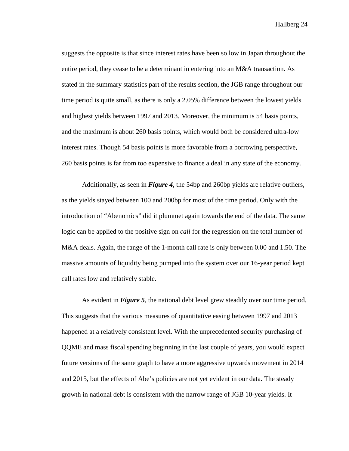suggests the opposite is that since interest rates have been so low in Japan throughout the entire period, they cease to be a determinant in entering into an M&A transaction. As stated in the summary statistics part of the results section, the JGB range throughout our time period is quite small, as there is only a 2.05% difference between the lowest yields and highest yields between 1997 and 2013. Moreover, the minimum is 54 basis points, and the maximum is about 260 basis points, which would both be considered ultra-low interest rates. Though 54 basis points is more favorable from a borrowing perspective, 260 basis points is far from too expensive to finance a deal in any state of the economy.

Additionally, as seen in *Figure 4*, the 54bp and 260bp yields are relative outliers, as the yields stayed between 100 and 200bp for most of the time period. Only with the introduction of "Abenomics" did it plummet again towards the end of the data. The same logic can be applied to the positive sign on *call* for the regression on the total number of M&A deals. Again, the range of the 1-month call rate is only between 0.00 and 1.50. The massive amounts of liquidity being pumped into the system over our 16-year period kept call rates low and relatively stable.

As evident in *Figure 5*, the national debt level grew steadily over our time period. This suggests that the various measures of quantitative easing between 1997 and 2013 happened at a relatively consistent level. With the unprecedented security purchasing of QQME and mass fiscal spending beginning in the last couple of years, you would expect future versions of the same graph to have a more aggressive upwards movement in 2014 and 2015, but the effects of Abe's policies are not yet evident in our data. The steady growth in national debt is consistent with the narrow range of JGB 10-year yields. It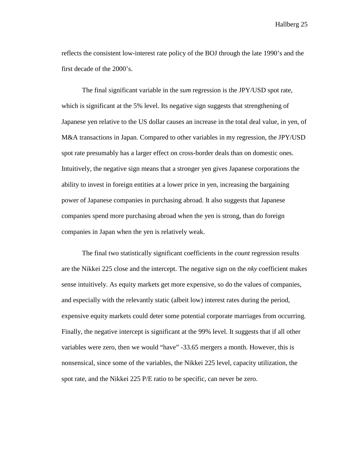reflects the consistent low-interest rate policy of the BOJ through the late 1990's and the first decade of the 2000's.

The final significant variable in the *sum* regression is the JPY/USD spot rate, which is significant at the 5% level. Its negative sign suggests that strengthening of Japanese yen relative to the US dollar causes an increase in the total deal value, in yen, of M&A transactions in Japan. Compared to other variables in my regression, the JPY/USD spot rate presumably has a larger effect on cross-border deals than on domestic ones. Intuitively, the negative sign means that a stronger yen gives Japanese corporations the ability to invest in foreign entities at a lower price in yen, increasing the bargaining power of Japanese companies in purchasing abroad. It also suggests that Japanese companies spend more purchasing abroad when the yen is strong, than do foreign companies in Japan when the yen is relatively weak.

The final two statistically significant coefficients in the *count* regression results are the Nikkei 225 close and the intercept. The negative sign on the *nky* coefficient makes sense intuitively. As equity markets get more expensive, so do the values of companies, and especially with the relevantly static (albeit low) interest rates during the period, expensive equity markets could deter some potential corporate marriages from occurring. Finally, the negative intercept is significant at the 99% level. It suggests that if all other variables were zero, then we would "have" -33.65 mergers a month. However, this is nonsensical, since some of the variables, the Nikkei 225 level, capacity utilization, the spot rate, and the Nikkei 225 P/E ratio to be specific, can never be zero.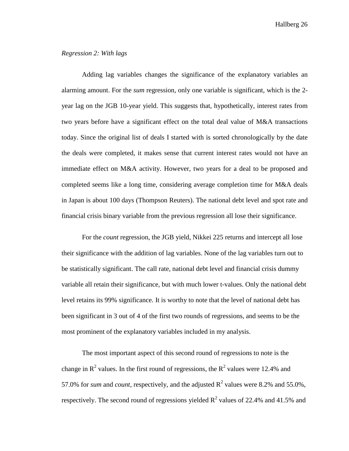#### *Regression 2: With lags*

Adding lag variables changes the significance of the explanatory variables an alarming amount. For the *sum* regression, only one variable is significant, which is the 2 year lag on the JGB 10-year yield. This suggests that, hypothetically, interest rates from two years before have a significant effect on the total deal value of M&A transactions today. Since the original list of deals I started with is sorted chronologically by the date the deals were completed, it makes sense that current interest rates would not have an immediate effect on M&A activity. However, two years for a deal to be proposed and completed seems like a long time, considering average completion time for M&A deals in Japan is about 100 days (Thompson Reuters). The national debt level and spot rate and financial crisis binary variable from the previous regression all lose their significance.

For the *count* regression, the JGB yield, Nikkei 225 returns and intercept all lose their significance with the addition of lag variables. None of the lag variables turn out to be statistically significant. The call rate, national debt level and financial crisis dummy variable all retain their significance, but with much lower t-values. Only the national debt level retains its 99% significance. It is worthy to note that the level of national debt has been significant in 3 out of 4 of the first two rounds of regressions, and seems to be the most prominent of the explanatory variables included in my analysis.

The most important aspect of this second round of regressions to note is the change in  $\mathbb{R}^2$  values. In the first round of regressions, the  $\mathbb{R}^2$  values were 12.4% and 57.0% for *sum* and *count*, respectively, and the adjusted  $R^2$  values were 8.2% and 55.0%, respectively. The second round of regressions yielded  $R^2$  values of 22.4% and 41.5% and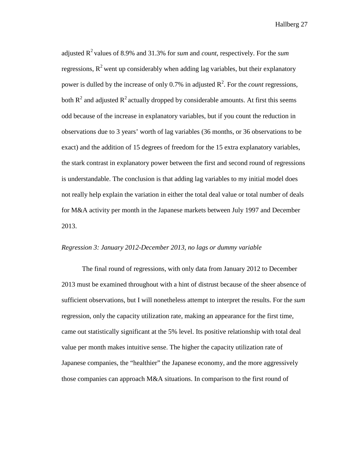adjusted  $R^2$  values of 8.9% and 31.3% for *sum* and *count*, respectively. For the *sum* regressions,  $R^2$  went up considerably when adding lag variables, but their explanatory power is dulled by the increase of only  $0.7\%$  in adjusted  $\mathbb{R}^2$ . For the *count* regressions, both  $R^2$  and adjusted  $R^2$  actually dropped by considerable amounts. At first this seems odd because of the increase in explanatory variables, but if you count the reduction in observations due to 3 years' worth of lag variables (36 months, or 36 observations to be exact) and the addition of 15 degrees of freedom for the 15 extra explanatory variables, the stark contrast in explanatory power between the first and second round of regressions is understandable. The conclusion is that adding lag variables to my initial model does not really help explain the variation in either the total deal value or total number of deals for M&A activity per month in the Japanese markets between July 1997 and December 2013.

#### *Regression 3: January 2012-December 2013, no lags or dummy variable*

The final round of regressions, with only data from January 2012 to December 2013 must be examined throughout with a hint of distrust because of the sheer absence of sufficient observations, but I will nonetheless attempt to interpret the results. For the *sum* regression, only the capacity utilization rate, making an appearance for the first time, came out statistically significant at the 5% level. Its positive relationship with total deal value per month makes intuitive sense. The higher the capacity utilization rate of Japanese companies, the "healthier" the Japanese economy, and the more aggressively those companies can approach M&A situations. In comparison to the first round of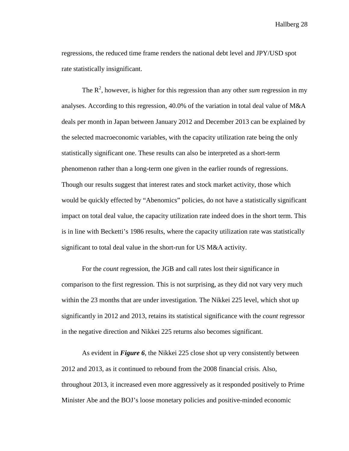regressions, the reduced time frame renders the national debt level and JPY/USD spot rate statistically insignificant.

The  $R<sup>2</sup>$ , however, is higher for this regression than any other *sum* regression in my analyses. According to this regression, 40.0% of the variation in total deal value of M&A deals per month in Japan between January 2012 and December 2013 can be explained by the selected macroeconomic variables, with the capacity utilization rate being the only statistically significant one. These results can also be interpreted as a short-term phenomenon rather than a long-term one given in the earlier rounds of regressions. Though our results suggest that interest rates and stock market activity, those which would be quickly effected by "Abenomics" policies, do not have a statistically significant impact on total deal value, the capacity utilization rate indeed does in the short term. This is in line with Becketti's 1986 results, where the capacity utilization rate was statistically significant to total deal value in the short-run for US M&A activity.

For the *count* regression, the JGB and call rates lost their significance in comparison to the first regression. This is not surprising, as they did not vary very much within the 23 months that are under investigation. The Nikkei 225 level, which shot up significantly in 2012 and 2013, retains its statistical significance with the *count* regressor in the negative direction and Nikkei 225 returns also becomes significant.

As evident in *Figure 6*, the Nikkei 225 close shot up very consistently between 2012 and 2013, as it continued to rebound from the 2008 financial crisis. Also, throughout 2013, it increased even more aggressively as it responded positively to Prime Minister Abe and the BOJ's loose monetary policies and positive-minded economic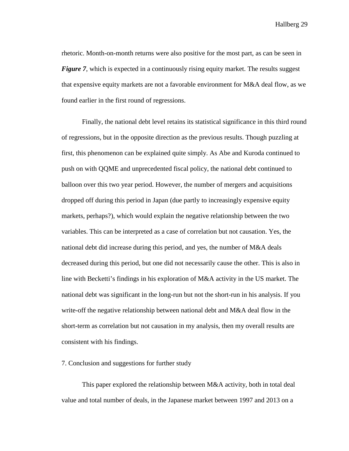rhetoric. Month-on-month returns were also positive for the most part, as can be seen in *Figure 7*, which is expected in a continuously rising equity market. The results suggest that expensive equity markets are not a favorable environment for M&A deal flow, as we found earlier in the first round of regressions.

Finally, the national debt level retains its statistical significance in this third round of regressions, but in the opposite direction as the previous results. Though puzzling at first, this phenomenon can be explained quite simply. As Abe and Kuroda continued to push on with QQME and unprecedented fiscal policy, the national debt continued to balloon over this two year period. However, the number of mergers and acquisitions dropped off during this period in Japan (due partly to increasingly expensive equity markets, perhaps?), which would explain the negative relationship between the two variables. This can be interpreted as a case of correlation but not causation. Yes, the national debt did increase during this period, and yes, the number of M&A deals decreased during this period, but one did not necessarily cause the other. This is also in line with Becketti's findings in his exploration of M&A activity in the US market. The national debt was significant in the long-run but not the short-run in his analysis. If you write-off the negative relationship between national debt and M&A deal flow in the short-term as correlation but not causation in my analysis, then my overall results are consistent with his findings.

#### 7. Conclusion and suggestions for further study

This paper explored the relationship between M&A activity, both in total deal value and total number of deals, in the Japanese market between 1997 and 2013 on a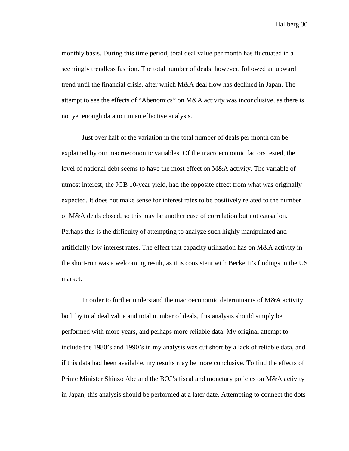monthly basis. During this time period, total deal value per month has fluctuated in a seemingly trendless fashion. The total number of deals, however, followed an upward trend until the financial crisis, after which M&A deal flow has declined in Japan. The attempt to see the effects of "Abenomics" on M&A activity was inconclusive, as there is not yet enough data to run an effective analysis.

Just over half of the variation in the total number of deals per month can be explained by our macroeconomic variables. Of the macroeconomic factors tested, the level of national debt seems to have the most effect on M&A activity. The variable of utmost interest, the JGB 10-year yield, had the opposite effect from what was originally expected. It does not make sense for interest rates to be positively related to the number of M&A deals closed, so this may be another case of correlation but not causation. Perhaps this is the difficulty of attempting to analyze such highly manipulated and artificially low interest rates. The effect that capacity utilization has on M&A activity in the short-run was a welcoming result, as it is consistent with Becketti's findings in the US market.

In order to further understand the macroeconomic determinants of M&A activity, both by total deal value and total number of deals, this analysis should simply be performed with more years, and perhaps more reliable data. My original attempt to include the 1980's and 1990's in my analysis was cut short by a lack of reliable data, and if this data had been available, my results may be more conclusive. To find the effects of Prime Minister Shinzo Abe and the BOJ's fiscal and monetary policies on M&A activity in Japan, this analysis should be performed at a later date. Attempting to connect the dots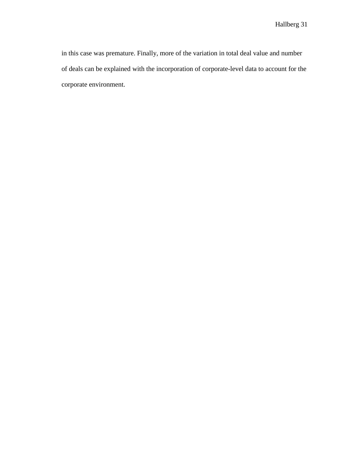in this case was premature. Finally, more of the variation in total deal value and number of deals can be explained with the incorporation of corporate-level data to account for the corporate environment.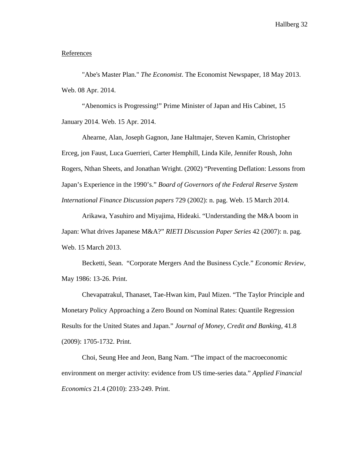#### **References**

"Abe's Master Plan." *The Economist*. The Economist Newspaper, 18 May 2013. Web. 08 Apr. 2014.

"Abenomics is Progressing!" Prime Minister of Japan and His Cabinet, 15 January 2014. Web. 15 Apr. 2014.

Ahearne, Alan, Joseph Gagnon, Jane Haltmajer, Steven Kamin, Christopher Erceg, jon Faust, Luca Guerrieri, Carter Hemphill, Linda Kile, Jennifer Roush, John Rogers, Nthan Sheets, and Jonathan Wright. (2002) "Preventing Deflation: Lessons from Japan's Experience in the 1990's." *Board of Governors of the Federal Reserve System International Finance Discussion papers* 729 (2002): n. pag. Web. 15 March 2014.

Arikawa, Yasuhiro and Miyajima, Hideaki. "Understanding the M&A boom in Japan: What drives Japanese M&A?" *RIETI Discussion Paper Series* 42 (2007): n. pag. Web. 15 March 2013.

Becketti, Sean. "Corporate Mergers And the Business Cycle." *Economic Review*, May 1986: 13-26. Print.

Chevapatrakul, Thanaset, Tae-Hwan kim, Paul Mizen. "The Taylor Principle and Monetary Policy Approaching a Zero Bound on Nominal Rates: Quantile Regression Results for the United States and Japan." *Journal of Money, Credit and Banking,* 41.8 (2009): 1705-1732. Print.

Choi, Seung Hee and Jeon, Bang Nam. "The impact of the macroeconomic environment on merger activity: evidence from US time-series data." *Applied Financial Economics* 21.4 (2010): 233-249. Print.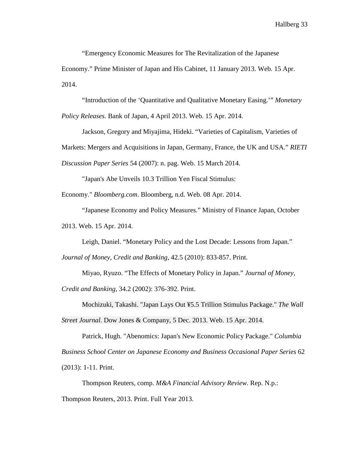"Emergency Economic Measures for The Revitalization of the Japanese Economy." Prime Minister of Japan and His Cabinet, 11 January 2013. Web. 15 Apr. 2014.

"Introduction of the 'Quantitative and Qualitative Monetary Easing.'" *Monetary* 

*Policy Releases.* Bank of Japan, 4 April 2013. Web. 15 Apr. 2014.

Jackson, Gregory and Miyajima, Hideki. "Varieties of Capitalism, Varieties of Markets: Mergers and Acquisitions in Japan, Germany, France, the UK and USA." *RIETI Discussion Paper Series* 54 (2007): n. pag. Web. 15 March 2014.

"Japan's Abe Unveils 10.3 Trillion Yen Fiscal Stimulus:

Economy." *Bloomberg.com*. Bloomberg, n.d. Web. 08 Apr. 2014.

"Japanese Economy and Policy Measures." Ministry of Finance Japan, October 2013. Web. 15 Apr. 2014.

Leigh, Daniel. "Monetary Policy and the Lost Decade: Lessons from Japan."

*Journal of Money, Credit and Banking,* 42.5 (2010): 833-857. Print.

Miyao, Ryuzo. "The Effects of Monetary Policy in Japan." *Journal of Money,* 

*Credit and Banking,* 34.2 (2002): 376-392. Print.

Mochizuki, Takashi. "Japan Lays Out ¥5.5 Trillion Stimulus Package." *The Wall Street Journal*. Dow Jones & Company, 5 Dec. 2013. Web. 15 Apr. 2014.

Patrick, Hugh. "Abenomics: Japan's New Economic Policy Package." *Columbia Business School Center on Japanese Economy and Business Occasional Paper Series* 62 (2013): 1-11. Print.

Thompson Reuters, comp. *M&A Financial Advisory Review*. Rep. N.p.: Thompson Reuters, 2013. Print. Full Year 2013.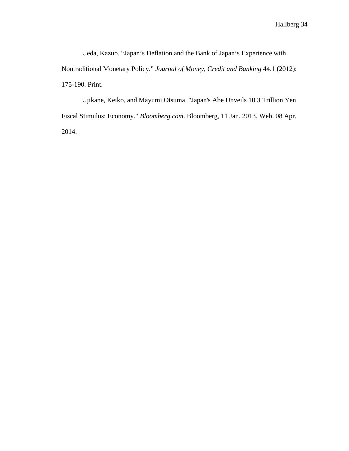Ueda, Kazuo. "Japan's Deflation and the Bank of Japan's Experience with Nontraditional Monetary Policy." *Journal of Money, Credit and Banking* 44.1 (2012): 175-190. Print.

Ujikane, Keiko, and Mayumi Otsuma. "Japan's Abe Unveils 10.3 Trillion Yen Fiscal Stimulus: Economy." *Bloomberg.com*. Bloomberg, 11 Jan. 2013. Web. 08 Apr. 2014.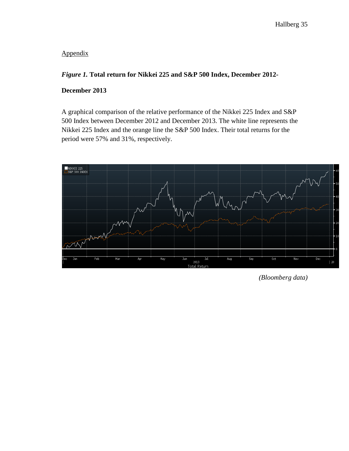# Appendix

## *Figure 1.* **Total return for Nikkei 225 and S&P 500 Index, December 2012-**

## **December 2013**

A graphical comparison of the relative performance of the Nikkei 225 Index and S&P 500 Index between December 2012 and December 2013. The white line represents the Nikkei 225 Index and the orange line the S&P 500 Index. Their total returns for the period were 57% and 31%, respectively.



*(Bloomberg data)*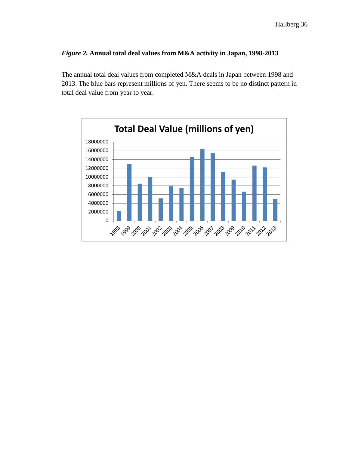## *Figure 2.* **Annual total deal values from M&A activity in Japan, 1998-2013**

The annual total deal values from completed M&A deals in Japan between 1998 and 2013. The blue bars represent millions of yen. There seems to be no distinct pattern in total deal value from year to year.

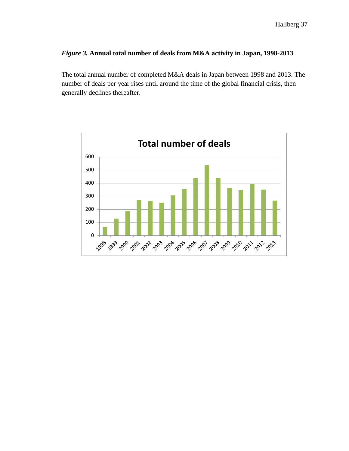## *Figure 3.* **Annual total number of deals from M&A activity in Japan, 1998-2013**

The total annual number of completed M&A deals in Japan between 1998 and 2013. The number of deals per year rises until around the time of the global financial crisis, then generally declines thereafter.

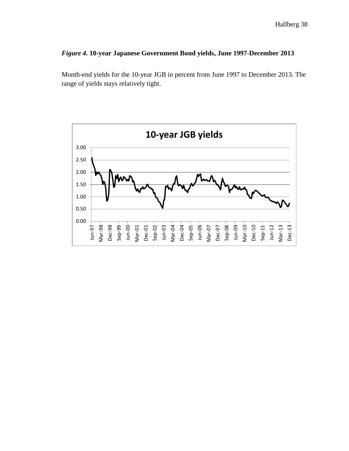## *Figure 4.* **10-year Japanese Government Bond yields, June 1997-December 2013**

Month-end yields for the 10-year JGB in percent from June 1997 to December 2013. The range of yields stays relatively tight.

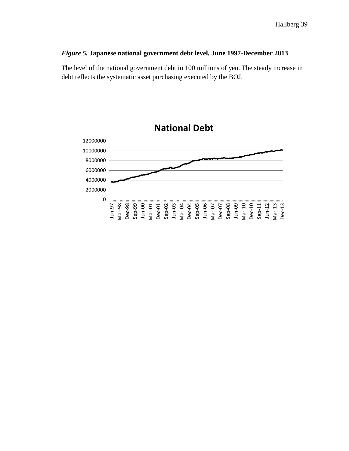## *Figure 5.* **Japanese national government debt level, June 1997-December 2013**

The level of the national government debt in 100 millions of yen. The steady increase in debt reflects the systematic asset purchasing executed by the BOJ.

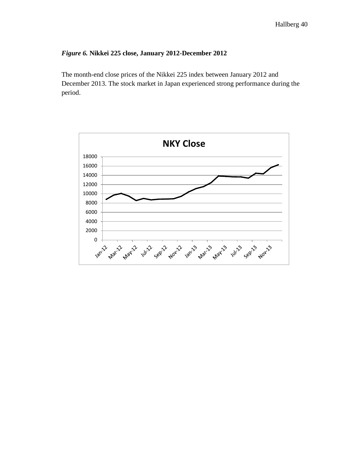## *Figure 6.* **Nikkei 225 close, January 2012-December 2012**

The month-end close prices of the Nikkei 225 index between January 2012 and December 2013. The stock market in Japan experienced strong performance during the period.

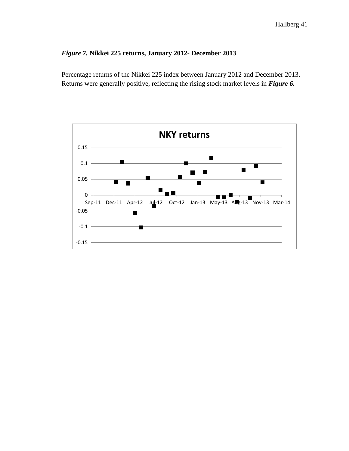## *Figure 7.* **Nikkei 225 returns, January 2012- December 2013**

Percentage returns of the Nikkei 225 index between January 2012 and December 2013. Returns were generally positive, reflecting the rising stock market levels in *Figure 6.* 

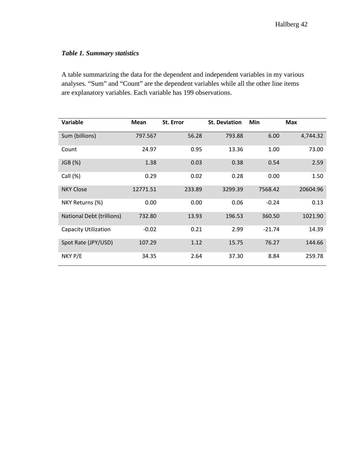# *Table 1. Summary statistics*

A table summarizing the data for the dependent and independent variables in my various analyses. "Sum" and "Count" are the dependent variables while all the other line items are explanatory variables. Each variable has 199 observations.

| Variable                         | Mean     | St. Error | <b>St. Deviation</b> | Min      | <b>Max</b> |
|----------------------------------|----------|-----------|----------------------|----------|------------|
| Sum (billions)                   | 797.567  | 56.28     | 793.88               | 6.00     | 4,744.32   |
| Count                            | 24.97    | 0.95      | 13.36                | 1.00     | 73.00      |
| JGB (%)                          | 1.38     | 0.03      | 0.38                 | 0.54     | 2.59       |
| Call $(\%)$                      | 0.29     | 0.02      | 0.28                 | 0.00     | 1.50       |
| <b>NKY Close</b>                 | 12771.51 | 233.89    | 3299.39              | 7568.42  | 20604.96   |
| NKY Returns (%)                  | 0.00     | 0.00      | 0.06                 | $-0.24$  | 0.13       |
| <b>National Debt (trillions)</b> | 732.80   | 13.93     | 196.53               | 360.50   | 1021.90    |
| Capacity Utilization             | $-0.02$  | 0.21      | 2.99                 | $-21.74$ | 14.39      |
| Spot Rate (JPY/USD)              | 107.29   | 1.12      | 15.75                | 76.27    | 144.66     |
| NKY P/E                          | 34.35    | 2.64      | 37.30                | 8.84     | 259.78     |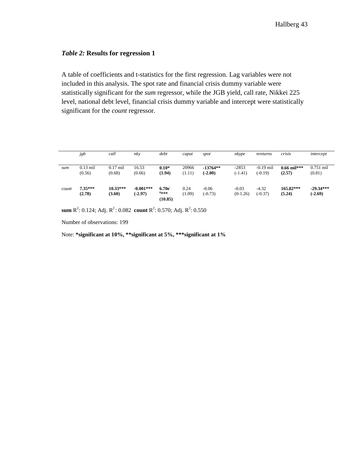## *Table 2:* **Results for regression 1**

A table of coefficients and t-statistics for the first regression. Lag variables were not included in this analysis. The spot rate and financial crisis dummy variable were statistically significant for the *sum* regressor, while the JGB yield, call rate, Nikkei 225 level, national debt level, financial crisis dummy variable and intercept were statistically significant for the *count* regressor.

|       | jgb        | call       | nky         | debt    | caput  | spot       | nkype      | nreturns    | crisis        | intercept   |
|-------|------------|------------|-------------|---------|--------|------------|------------|-------------|---------------|-------------|
|       |            |            |             |         |        |            |            |             |               |             |
| sum   | $0.13$ mil | $0.17$ mil | 16.53       | $0.10*$ | 20966  | $-13764**$ | $-2853$    | $-0.19$ mil | $0.66$ mil*** | $0.751$ mil |
|       | (0.56)     | (0.68)     | (0.66)      | (1.94)  | (1.11) | $(-2.00)$  | $(-1.41)$  | $(-0.19)$   | (2.57)        | (0.81)      |
|       |            |            |             |         |        |            |            |             |               |             |
| count | $7.35***$  | $10.33***$ | $-0.001***$ | 6.70e   | 0.24   | $-0.06$    | $-0.03$    | $-4.32$     | $165.82***$   | $-29.34***$ |
|       | (2.78)     | (3.60)     | $(-2.97)$   | $6***$  | (1.09) | $(-0.73)$  | $(0-1.26)$ | $(-0.37)$   | (5.24)        | $(-2.69)$   |
|       |            |            |             | (10.85) |        |            |            |             |               |             |

**sum**  $R^2$ : 0.124; Adj.  $R^2$ : 0.082 **count**  $R^2$ : 0.570; Adj.  $R^2$ : 0.550

Number of observations: 199

Note: **\*significant at 10%, \*\*significant at 5%, \*\*\*significant at 1%**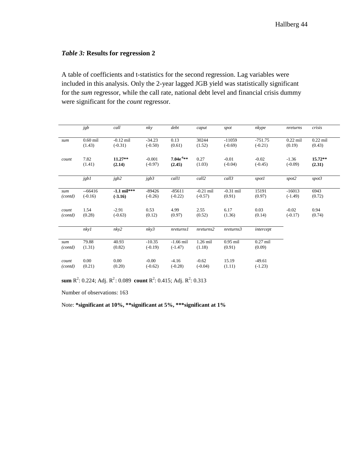#### *Table 3:* **Results for regression 2**

A table of coefficients and t-statistics for the second regression. Lag variables were included in this analysis. Only the 2-year lagged JGB yield was statistically significant for the *sum* regressor, while the call rate, national debt level and financial crisis dummy were significant for the *count* regressor.

|                  | jgb                   | call                       | nky                   | debt                     | caput                    | spot                  | nkype                  | nreturns              | crisis               |
|------------------|-----------------------|----------------------------|-----------------------|--------------------------|--------------------------|-----------------------|------------------------|-----------------------|----------------------|
| sum              | $0.60$ mil<br>(1.43)  | $-0.12$ mil<br>$(-0.31)$   | $-34.23$<br>$(-0.50)$ | 0.13<br>(0.61)           | 30244<br>(1.52)          | $-11059$<br>$(-0.69)$ | $-751.75$<br>$(-0.21)$ | $0.22$ mil<br>(0.19)  | $0.22$ mil<br>(0.43) |
| count            | 7.82<br>(1.41)        | $11.27**$<br>(2.14)        | $-0.001$<br>$(-0.97)$ | $7.04e^{-6**}$<br>(2.45) | 0.27<br>(1.03)           | $-0.01$<br>$(-0.04)$  | $-0.02$<br>$(-0.45)$   | $-1.36$<br>$(-0.09)$  | $15.72**$<br>(2.31)  |
|                  |                       |                            |                       |                          |                          |                       |                        |                       |                      |
|                  | jgb1                  | jgb2                       | jgb3                  | call1                    | call2                    | call3                 | spotl                  | spot2                 | spot3                |
| sum<br>(contd)   | $-66416$<br>$(-0.16)$ | $-1.1$ mil***<br>$(-3.16)$ | $-89426$<br>$(-0.26)$ | $-85611$<br>$(-0.22)$    | $-0.21$ mil<br>$(-0.57)$ | $-0.31$ mil<br>(0.91) | 15191<br>(0.97)        | $-16013$<br>$(-1.49)$ | 6943<br>(0.72)       |
| count<br>(contd) | 1.54<br>(0.28)        | $-2.91$<br>$(-0.63)$       | 0.53<br>(0.12)        | 4.99<br>(0.97)           | 2.55<br>(0.52)           | 6.17<br>(1.36)        | 0.03<br>(0.14)         | $-0.02$<br>$(-0.17)$  | 0.94<br>(0.74)       |
|                  | nky1                  | nky2                       | nky3                  | nreturns1                | nreturns2                | nreturns3             | intercept              |                       |                      |
| sum<br>(contd)   | 79.88<br>(1.31)       | 40.93<br>(0.82)            | $-10.35$<br>$(-0.19)$ | $-1.66$ mil<br>$(-1.47)$ | 1.26 mil<br>(1.18)       | $0.95$ mil<br>(0.91)  | $0.27$ mil<br>(0.09)   |                       |                      |
| count<br>(contd) | $0.00\,$<br>(0.21)    | $0.00\,$<br>(0.20)         | $-0.00$<br>$(-0.62)$  | $-4.16$<br>$(-0.28)$     | $-0.62$<br>$(-0.04)$     | 15.19<br>(1.11)       | $-49.61$<br>$(-1.23)$  |                       |                      |

**sum**  $R^2$ : 0.224; Adj.  $R^2$ : 0.089 **count**  $R^2$ : 0.415; Adj.  $R^2$ : 0.313

Number of observations: 163

Note: **\*significant at 10%, \*\*significant at 5%, \*\*\*significant at 1%**